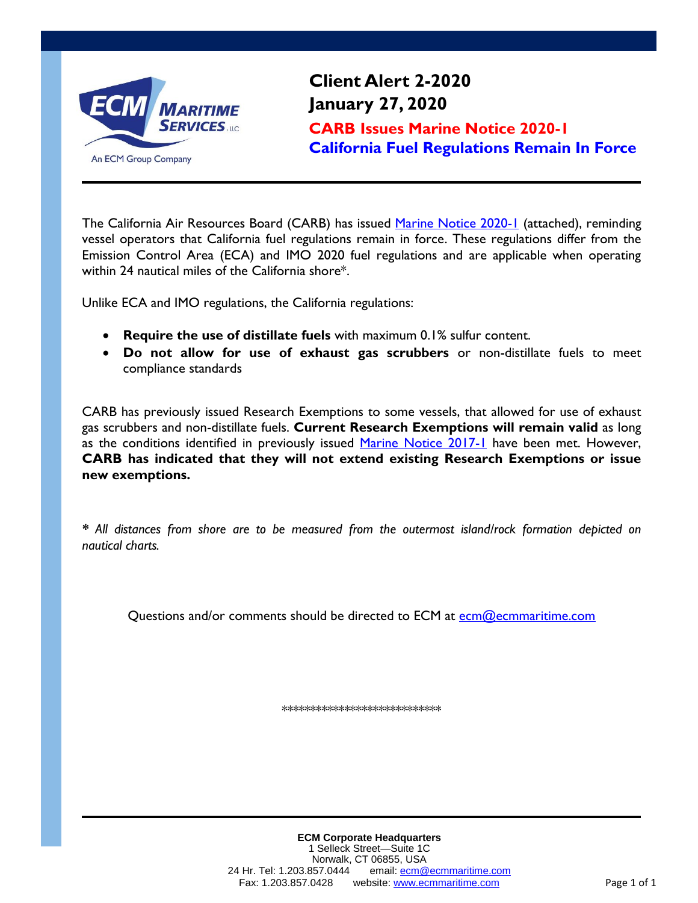

**Client Alert 2-2020 January 27, 2020 CARB Issues Marine Notice 2020-1 California Fuel Regulations Remain In Force**

The California Air Resources Board (CARB) has issued [Marine Notice 2020-1](https://ww3.arb.ca.gov/ports/marinevess/documents/marinenotice20201.pdf) (attached), reminding vessel operators that California fuel regulations remain in force. These regulations differ from the Emission Control Area (ECA) and IMO 2020 fuel regulations and are applicable when operating within 24 nautical miles of the California shore\*.

Unlike ECA and IMO regulations, the California regulations:

- **Require the use of distillate fuels** with maximum 0.1% sulfur content.
- **Do not allow for use of exhaust gas scrubbers** or non-distillate fuels to meet compliance standards

CARB has previously issued Research Exemptions to some vessels, that allowed for use of exhaust gas scrubbers and non-distillate fuels. **Current Research Exemptions will remain valid** as long as the conditions identified in previously issued [Marine Notice 2017-1](https://ww3.arb.ca.gov/ports/marinevess/documents/marinenote2017_1.pdf) have been met. However, **CARB has indicated that they will not extend existing Research Exemptions or issue new exemptions.**

*\* All distances from shore are to be measured from the outermost island/rock formation depicted on nautical charts.*

Questions and/or comments should be directed to ECM at [ecm@ecmmaritime.com](mailto:ecm@ecmmaritime.com)

\*\*\*\*\*\*\*\*\*\*\*\*\*\*\*\*\*\*\*\*\*\*\*\*\*\*\*\*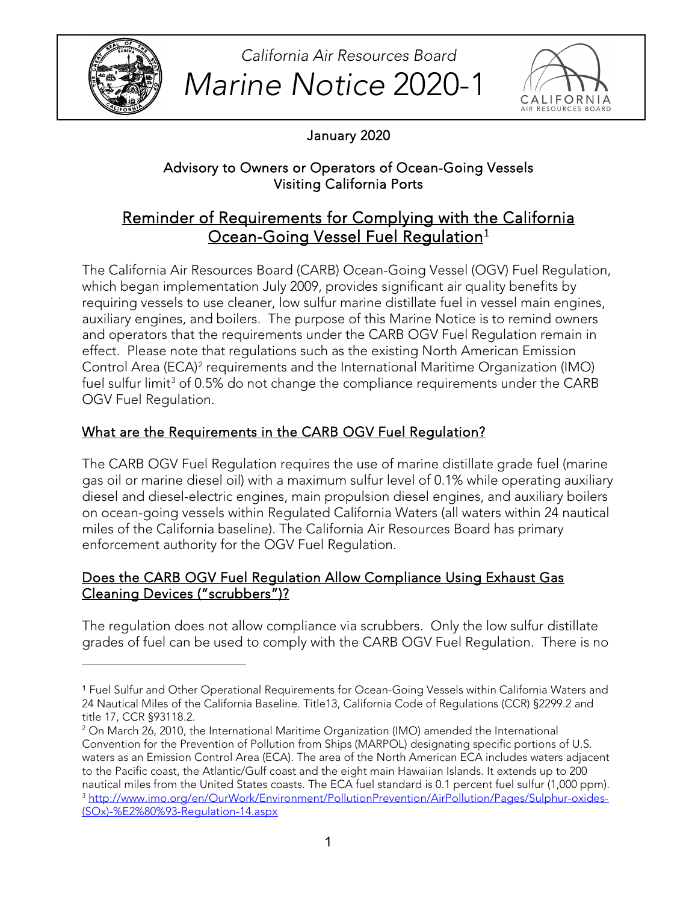

l

**Marine Notice 2020-1** ALLIFORNIA *California Air Resources Board* 



January 2020

## Advisory to Owners or Operators of Ocean-Going Vessels Visiting California Ports

# Reminder of Requirements for Complying with the California Ocean-Going Vessel Fuel Regulation<sup>[1](#page-1-0)</sup>

The California Air Resources Board (CARB) Ocean-Going Vessel (OGV) Fuel Regulation, which began implementation July 2009, provides significant air quality benefits by requiring vessels to use cleaner, low sulfur marine distillate fuel in vessel main engines, auxiliary engines, and boilers. The purpose of this Marine Notice is to remind owners and operators that the requirements under the CARB OGV Fuel Regulation remain in effect. Please note that regulations such as the existing North American Emission Control Area (ECA)[2](#page-1-1) requirements and the International Maritime Organization (IMO) fuel sulfur limit<sup>3</sup> of 0.5% do not change the compliance requirements under the CARB OGV Fuel Regulation.

## What are the Requirements in the CARB OGV Fuel Regulation?

The CARB OGV Fuel Regulation requires the use of marine distillate grade fuel (marine gas oil or marine diesel oil) with a maximum sulfur level of 0.1% while operating auxiliary diesel and diesel-electric engines, main propulsion diesel engines, and auxiliary boilers on ocean-going vessels within Regulated California Waters (all waters within 24 nautical miles of the California baseline). The California Air Resources Board has primary enforcement authority for the OGV Fuel Regulation.

### Does the CARB OGV Fuel Regulation Allow Compliance Using Exhaust Gas Cleaning Devices ("scrubbers")?

 The regulation does not allow compliance via scrubbers. Only the low sulfur distillate grades of fuel can be used to comply with the CARB OGV Fuel Regulation. There is no

<span id="page-1-0"></span><sup>&</sup>lt;sup>1</sup> Fuel Sulfur and Other Operational Requirements for Ocean-Going Vessels within California Waters and 24 Nautical Miles of the California Baseline. Title13, California Code of Regulations (CCR) §2299.2 and title 17, CCR §93118.2.<br><sup>2</sup> On March 26, 2010, the International Maritime Organization (IMO) amended the International

<span id="page-1-2"></span><span id="page-1-1"></span>Convention for the Prevention of Pollution from Ships (MARPOL) designating specific portions of U.S. waters as an Emission Control Area (ECA). The area of the North American ECA includes waters adjacent to the Pacific coast, the Atlantic/Gulf coast and the eight main Hawaiian Islands. It extends up to 200 nautical miles from the United States coasts. The ECA fuel standard is 0.1 percent fuel sulfur (1,000 ppm). [3 http://www.imo.org/en/OurWork/Environment/PollutionPrevention/AirPollution/Pages/Sulphur-oxides-](http://www.imo.org/en/OurWork/Environment/PollutionPrevention/AirPollution/Pages/Sulphur-oxides-(SOx)-%E2%80%93-Regulation-14.aspx) [\(SOx\)-%E2%80%93-Regulation-14.aspx](http://www.imo.org/en/OurWork/Environment/PollutionPrevention/AirPollution/Pages/Sulphur-oxides-(SOx)-%E2%80%93-Regulation-14.aspx)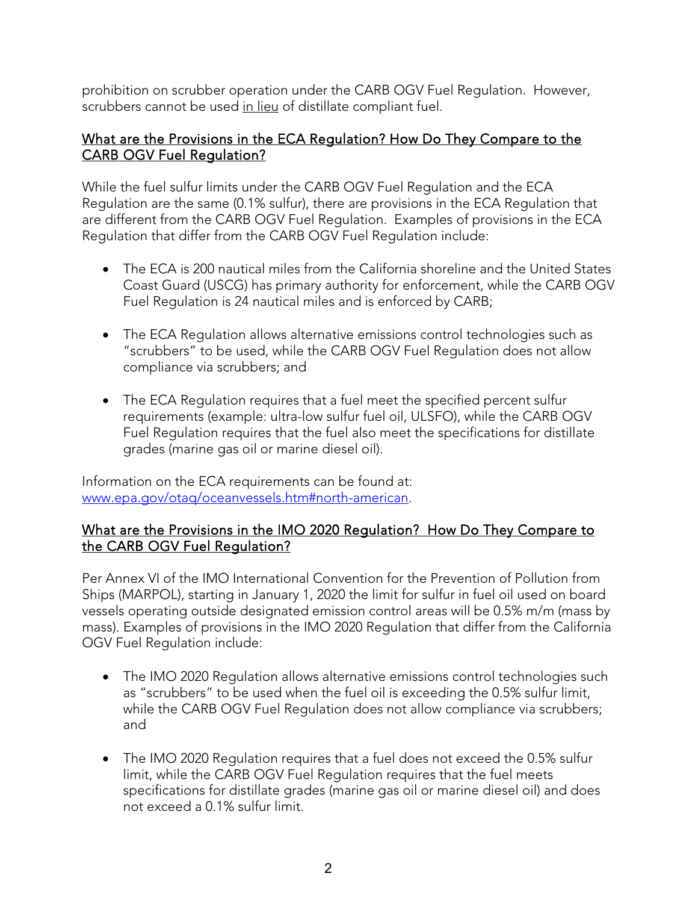prohibition on scrubber operation under the CARB OGV Fuel Regulation. However, scrubbers cannot be used <u>in lieu</u> of distillate compliant fuel.

#### What are the Provisions in the ECA Regulation? How Do They Compare to the CARB OGV Fuel Regulation?

 While the fuel sulfur limits under the CARB OGV Fuel Regulation and the ECA are different from the CARB OGV Fuel Regulation. Examples of provisions in the ECA Regulation that differ from the CARB OGV Fuel Regulation include: Regulation are the same (0.1% sulfur), there are provisions in the ECA Regulation that

- The ECA is 200 nautical miles from the California shoreline and the United States Coast Guard (USCG) has primary authority for enforcement, while the CARB OGV Fuel Regulation is 24 nautical miles and is enforced by CARB;
- • The ECA Regulation allows alternative emissions control technologies such as "scrubbers" to be used, while the CARB OGV Fuel Regulation does not allow compliance via scrubbers; and
- The ECA Regulation requires that a fuel meet the specified percent sulfur requirements (example: ultra-low sulfur fuel oil, ULSFO), while the CARB OGV Fuel Regulation requires that the fuel also meet the specifications for distillate grades (marine gas oil or marine diesel oil).

www.epa.gov/otag/oceanvessels.htm#north-american. Information on the ECA requirements can be found at:

#### What are the Provisions in the IMO 2020 Regulation? How Do They Compare to the CARB OGV Fuel Regulation?

 mass). Examples of provisions in the IMO 2020 Regulation that differ from the California Per Annex VI of the IMO International Convention for the Prevention of Pollution from Ships (MARPOL), starting in January 1, 2020 the limit for sulfur in fuel oil used on board vessels operating outside designated emission control areas will be 0.5% m/m (mass by OGV Fuel Regulation include:

- as "scrubbers" to be used when the fuel oil is exceeding the 0.5% sulfur limit, • The IMO 2020 Regulation allows alternative emissions control technologies such while the CARB OGV Fuel Regulation does not allow compliance via scrubbers; and
- The IMO 2020 Regulation requires that a fuel does not exceed the 0.5% sulfur limit, while the CARB OGV Fuel Regulation requires that the fuel meets specifications for distillate grades (marine gas oil or marine diesel oil) and does not exceed a 0.1% sulfur limit.